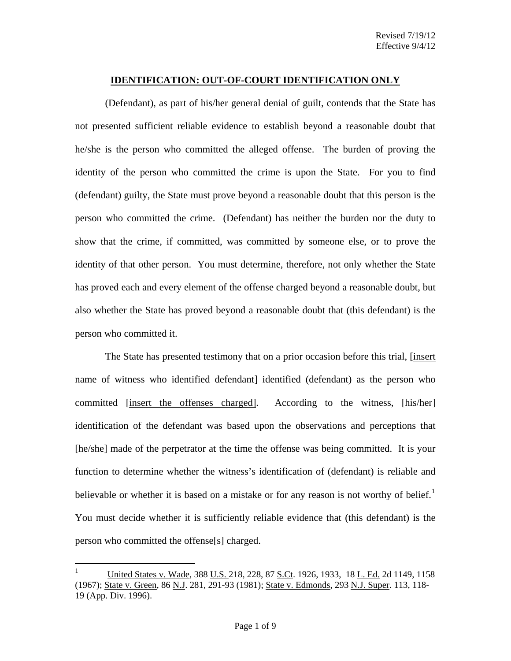#### **IDENTIFICATION: OUT-OF-COURT IDENTIFICATION ONLY**

(Defendant), as part of his/her general denial of guilt, contends that the State has not presented sufficient reliable evidence to establish beyond a reasonable doubt that he/she is the person who committed the alleged offense. The burden of proving the identity of the person who committed the crime is upon the State. For you to find (defendant) guilty, the State must prove beyond a reasonable doubt that this person is the person who committed the crime. (Defendant) has neither the burden nor the duty to show that the crime, if committed, was committed by someone else, or to prove the identity of that other person. You must determine, therefore, not only whether the State has proved each and every element of the offense charged beyond a reasonable doubt, but also whether the State has proved beyond a reasonable doubt that (this defendant) is the person who committed it.

The State has presented testimony that on a prior occasion before this trial, [insert name of witness who identified defendant] identified (defendant) as the person who committed [insert the offenses charged].According to the witness, [his/her] identification of the defendant was based upon the observations and perceptions that [he/she] made of the perpetrator at the time the offense was being committed. It is your function to determine whether the witness's identification of (defendant) is reliable and believable or whether it is based on a mistake or for any reason is not worthy of belief.<sup>[1](#page-0-0)</sup> You must decide whether it is sufficiently reliable evidence that (this defendant) is the person who committed the offense[s] charged.

<span id="page-0-1"></span><span id="page-0-0"></span> $\mathbf{1}$ <sup>1</sup> United States v. Wade, 388 U.S. 218, 228, 87 S.Ct. 1926, 1933, 18 L. Ed. 2d 1149, 1158 (1967); State v. Green, 86 N.J. 281, 291-93 (1981); State v. Edmonds, 293 N.J. Super. 113, 118- 19 (App. Div. 1996).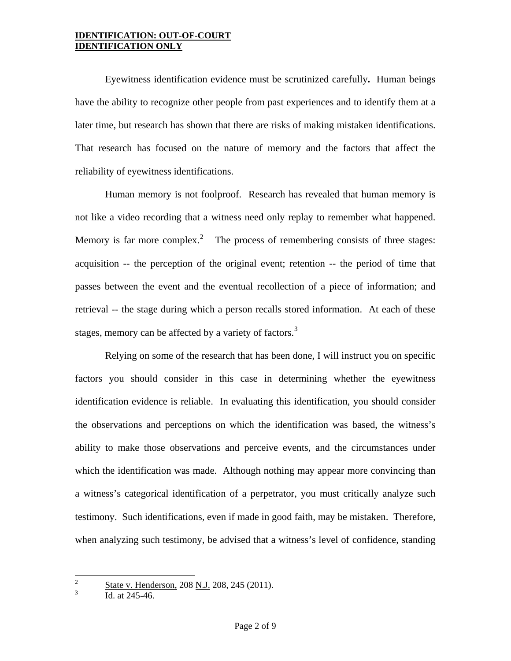### **IDENTIFICATION: OUT-OF-COURT IDENTIFICATION ONLY**

 Eyewitness identification evidence must be scrutinized carefully**.** Human beings have the ability to recognize other people from past experiences and to identify them at a later time, but research has shown that there are risks of making mistaken identifications. That research has focused on the nature of memory and the factors that affect the reliability of eyewitness identifications.

Human memory is not foolproof. Research has revealed that human memory is not like a video recording that a witness need only replay to remember what happened. Memory is far more complex.<sup>[2](#page-0-1)</sup> The process of remembering consists of three stages: acquisition -- the perception of the original event; retention -- the period of time that passes between the event and the eventual recollection of a piece of information; and retrieval -- the stage during which a person recalls stored information. At each of these stages, memory can be affected by a variety of factors.<sup>[3](#page-1-0)</sup>

Relying on some of the research that has been done, I will instruct you on specific factors you should consider in this case in determining whether the eyewitness identification evidence is reliable. In evaluating this identification, you should consider the observations and perceptions on which the identification was based, the witness's ability to make those observations and perceive events, and the circumstances under which the identification was made. Although nothing may appear more convincing than a witness's categorical identification of a perpetrator, you must critically analyze such testimony. Such identifications, even if made in good faith, may be mistaken. Therefore, when analyzing such testimony, be advised that a witness's level of confidence, standing

<span id="page-1-1"></span> $\overline{c}$  $\frac{2}{3}$  State v. Henderson, 208 <u>N.J.</u> 208, 245 (2011).

<span id="page-1-0"></span>Id. at 245-46.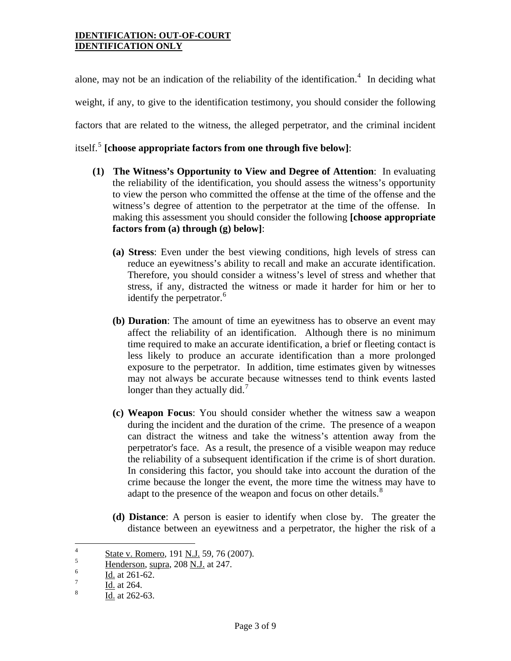### **IDENTIFICATION: OUT-OF-COURT IDENTIFICATION ONLY**

alone, may not be an indication of the reliability of the identification.<sup>[4](#page-1-1)</sup> In deciding what weight, if any, to give to the identification testimony, you should consider the following factors that are related to the witness, the alleged perpetrator, and the criminal incident itself.[5](#page-2-0) **[choose appropriate factors from one through five below]**:

- **(1) The Witness's Opportunity to View and Degree of Attention**: In evaluating the reliability of the identification, you should assess the witness's opportunity to view the person who committed the offense at the time of the offense and the witness's degree of attention to the perpetrator at the time of the offense. In making this assessment you should consider the following **[choose appropriate factors from (a) through (g) below]**:
	- **(a) Stress**: Even under the best viewing conditions, high levels of stress can reduce an eyewitness's ability to recall and make an accurate identification. Therefore, you should consider a witness's level of stress and whether that stress, if any, distracted the witness or made it harder for him or her to identify the perpetrator.<sup>[6](#page-2-1)</sup>
	- **(b) Duration**: The amount of time an eyewitness has to observe an event may affect the reliability of an identification. Although there is no minimum time required to make an accurate identification, a brief or fleeting contact is less likely to produce an accurate identification than a more prolonged exposure to the perpetrator. In addition, time estimates given by witnesses may not always be accurate because witnesses tend to think events lasted longer than they actually did.<sup>[7](#page-2-2)</sup>
	- **(c) Weapon Focus**: You should consider whether the witness saw a weapon during the incident and the duration of the crime. The presence of a weapon can distract the witness and take the witness's attention away from the perpetrator's face. As a result, the presence of a visible weapon may reduce the reliability of a subsequent identification if the crime is of short duration. In considering this factor, you should take into account the duration of the crime because the longer the event, the more time the witness may have to adapt to the presence of the weapon and focus on other details.<sup>[8](#page-2-3)</sup>
	- **(d) Distance**: A person is easier to identify when close by. The greater the distance between an eyewitness and a perpetrator, the higher the risk of a

<span id="page-2-4"></span> $\overline{4}$  $\frac{4}{5}$  State v. Romero, 191 <u>N.J.</u> 59, 76 (2007).

<span id="page-2-0"></span> $\frac{5}{6}$  Henderson, supra, 208 <u>N.J.</u> at 247.

<span id="page-2-1"></span> $\frac{6}{7}$  Id. at 261-62.

<span id="page-2-2"></span> $\frac{7}{8}$  Id. at 264.

<span id="page-2-3"></span>Id. at 262-63.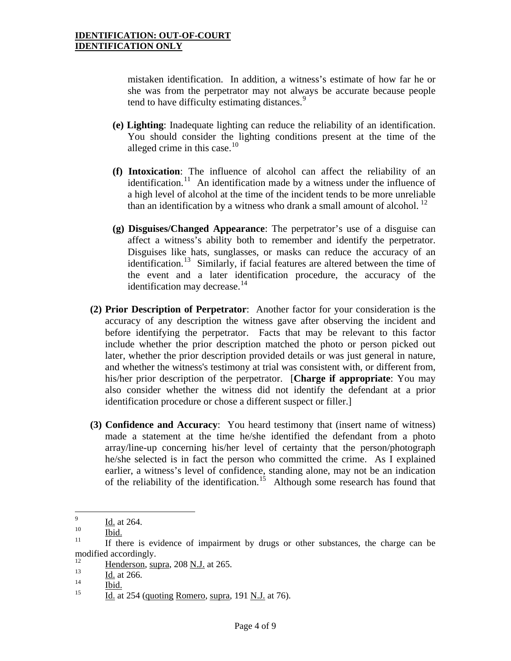mistaken identification. In addition, a witness's estimate of how far he or she was from the perpetrator may not always be accurate because people tend to have difficulty estimating distances.<sup>[9](#page-2-4)</sup>

- **(e) Lighting**: Inadequate lighting can reduce the reliability of an identification. You should consider the lighting conditions present at the time of the alleged crime in this case. $10$
- **(f) Intoxication**: The influence of alcohol can affect the reliability of an identification.<sup>[11](#page-3-1)</sup> An identification made by a witness under the influence of a high level of alcohol at the time of the incident tends to be more unreliable than an identification by a witness who drank a small amount of alcohol.  $^{12}$
- **(g) Disguises/Changed Appearance**: The perpetrator's use of a disguise can affect a witness's ability both to remember and identify the perpetrator. Disguises like hats, sunglasses, or masks can reduce the accuracy of an identification.<sup>[13](#page-3-3)</sup> Similarly, if facial features are altered between the time of the event and a later identification procedure, the accuracy of the identification may decrease. $14$
- **(2) Prior Description of Perpetrator**: Another factor for your consideration is the accuracy of any description the witness gave after observing the incident and before identifying the perpetrator. Facts that may be relevant to this factor include whether the prior description matched the photo or person picked out later, whether the prior description provided details or was just general in nature, and whether the witness's testimony at trial was consistent with, or different from, his/her prior description of the perpetrator. [**Charge if appropriate**: You may also consider whether the witness did not identify the defendant at a prior identification procedure or chose a different suspect or filler.]
- **(3) Confidence and Accuracy**: You heard testimony that (insert name of witness) made a statement at the time he/she identified the defendant from a photo array/line-up concerning his/her level of certainty that the person/photograph he/she selected is in fact the person who committed the crime. As I explained earlier, a witness's level of confidence, standing alone, may not be an indication of the reliability of the identification.<sup>[15](#page-3-5)</sup> Although some research has found that

 $\overline{9}$  $\frac{10}{10}$  Id. at 264.

<span id="page-3-1"></span><span id="page-3-0"></span> $\frac{10}{11}$  Ibid.<br><sup>11</sup> If there is evidence of impairment by drugs or other substances, the charge can be modified accordingly.

<span id="page-3-2"></span> $\frac{12}{13}$  Henderson, supra, 208 <u>N.J.</u> at 265.

<span id="page-3-3"></span> $\frac{13}{14}$  Id. at 266.

<span id="page-3-5"></span><span id="page-3-4"></span> $\frac{14}{15}$  Ibid.<br><sup>15</sup> Id. at 254 (quoting Romero, supra, 191 N.J. at 76).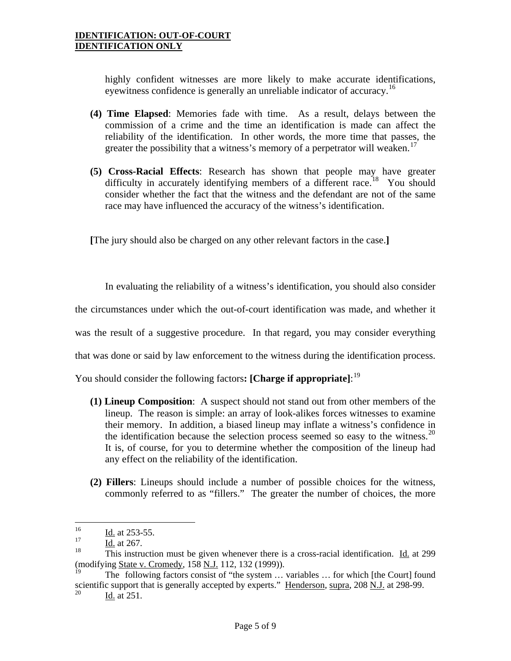highly confident witnesses are more likely to make accurate identifications, eyewitness confidence is generally an unreliable indicator of accuracy.<sup>[16](#page-3-0)</sup>

- **(4) Time Elapsed**: Memories fade with time. As a result, delays between the commission of a crime and the time an identification is made can affect the reliability of the identification. In other words, the more time that passes, the greater the possibility that a witness's memory of a perpetrator will weaken.<sup>[17](#page-4-0)</sup>
- **(5) Cross-Racial Effects**: Research has shown that people may have greater difficulty in accurately identifying members of a different race.<sup>[18](#page-4-1)</sup> You should consider whether the fact that the witness and the defendant are not of the same race may have influenced the accuracy of the witness's identification.

**[**The jury should also be charged on any other relevant factors in the case.**]** 

In evaluating the reliability of a witness's identification, you should also consider the circumstances under which the out-of-court identification was made, and whether it was the result of a suggestive procedure. In that regard, you may consider everything that was done or said by law enforcement to the witness during the identification process.

You should consider the following factors**: [Charge if appropriate]**: [19](#page-4-2)

- any effect on the reliability of the identification. **(1) Lineup Composition**: A suspect should not stand out from other members of the lineup. The reason is simple: an array of look-alikes forces witnesses to examine their memory. In addition, a biased lineup may inflate a witness's confidence in the identification because the selection process seemed so easy to the witness.<sup>20</sup> It is, of course, for you to determine whether the composition of the lineup had
- **(2) Fillers**: Lineups should include a number of possible choices for the witness, commonly referred to as "fillers." The greater the number of choices, the more

1

Id. at 251.

<span id="page-4-4"></span> $\frac{16}{17}$  Id. at 253-55.

<span id="page-4-0"></span> $\frac{17}{18}$  Id. at 267.

<span id="page-4-1"></span>This instruction must be given whenever there is a cross-racial identification. Id. at 299 (modifying State v. Cromedy, 158 N.J. 112, 132 (1999)).

<span id="page-4-3"></span><span id="page-4-2"></span>The following factors consist of "the system ... variables ... for which [the Court] found scientific support that is generally accepted by experts." Henderson, supra, 208 N.J. at 298-99.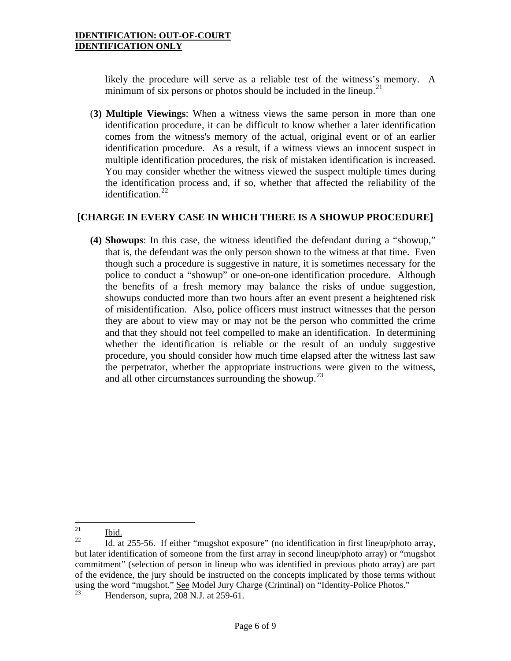likely the procedure will serve as a reliable test of the witness's memory. A minimum of six persons or photos should be included in the lineup.<sup>[21](#page-4-4)</sup>

(**3) Multiple Viewings**: When a witness views the same person in more than one identification procedure, it can be difficult to know whether a later identification comes from the witness's memory of the actual, original event or of an earlier identification procedure. As a result, if a witness views an innocent suspect in multiple identification procedures, the risk of mistaken identification is increased. You may consider whether the witness viewed the suspect multiple times during the identification process and, if so, whether that affected the reliability of the identification. $22$ 

# **[CHARGE IN EVERY CASE IN WHICH THERE IS A SHOWUP PROCEDURE]**

**(4) Showups**: In this case, the witness identified the defendant during a "showup," that is, the defendant was the only person shown to the witness at that time. Even though such a procedure is suggestive in nature, it is sometimes necessary for the police to conduct a "showup" or one-on-one identification procedure. Although the benefits of a fresh memory may balance the risks of undue suggestion, showups conducted more than two hours after an event present a heightened risk of misidentification. Also, police officers must instruct witnesses that the person they are about to view may or may not be the person who committed the crime and that they should not feel compelled to make an identification. In determining whether the identification is reliable or the result of an unduly suggestive procedure, you should consider how much time elapsed after the witness last saw the perpetrator, whether the appropriate instructions were given to the witness, and all other circumstances surrounding the showup.<sup>[23](#page-5-1)</sup>

<span id="page-5-2"></span><span id="page-5-0"></span><sup>21</sup> 

 $\frac{21}{22}$  Ibid.<br>22 Id. at 255-56. If either "mugshot exposure" (no identification in first lineup/photo array, but later identification of someone from the first array in second lineup/photo array) or "mugshot commitment" (selection of person in lineup who was identified in previous photo array) are part of the evidence, the jury should be instructed on the concepts implicated by those terms without using the word "mugshot." See Model Jury Charge (Criminal) on "Identity-Police Photos."

<span id="page-5-1"></span>Henderson, supra, 208 N.J. at 259-61.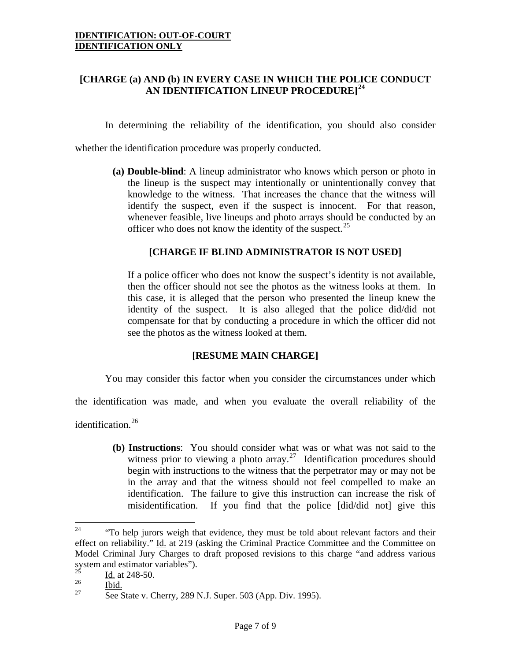# **[CHARGE (a) AND (b) IN EVERY CASE IN WHICH THE POLICE CONDUCT AN IDENTIFICATION LINEUP PROCEDURE][24](#page-5-2)**

In determining the reliability of the identification, you should also consider

whether the identification procedure was properly conducted.

**(a) Double-blind**: A lineup administrator who knows which person or photo in the lineup is the suspect may intentionally or unintentionally convey that knowledge to the witness. That increases the chance that the witness will identify the suspect, even if the suspect is innocent. For that reason, whenever feasible, live lineups and photo arrays should be conducted by an officer who does not know the identity of the suspect.<sup>[25](#page-6-0)</sup>

## **[CHARGE IF BLIND ADMINISTRATOR IS NOT USED]**

If a police officer who does not know the suspect's identity is not available, then the officer should not see the photos as the witness looks at them. In this case, it is alleged that the person who presented the lineup knew the identity of the suspect. It is also alleged that the police did/did not compensate for that by conducting a procedure in which the officer did not see the photos as the witness looked at them.

### **[RESUME MAIN CHARGE]**

You may consider this factor when you consider the circumstances under which

the identification was made, and when you evaluate the overall reliability of the

identification.<sup>[26](#page-6-1)</sup>

**(b) Instructions**: You should consider what was or what was not said to the witness prior to viewing a photo array.<sup>[27](#page-6-2)</sup> Identification procedures should begin with instructions to the witness that the perpetrator may or may not be in the array and that the witness should not feel compelled to make an identification. The failure to give this instruction can increase the risk of misidentification. If you find that the police [did/did not] give this

<sup>24</sup> "To help jurors weigh that evidence, they must be told about relevant factors and their effect on reliability." Id. at 219 (asking the Criminal Practice Committee and the Committee on Model Criminal Jury Charges to draft proposed revisions to this charge "and address various system and estimator variables").

<span id="page-6-3"></span><span id="page-6-0"></span> $\frac{25}{26}$  Id. at 248-50.

<span id="page-6-2"></span><span id="page-6-1"></span> $\frac{26}{27}$  Ibid.<br><sup>27</sup> See State v. Cherry, 289 <u>N.J. Super.</u> 503 (App. Div. 1995).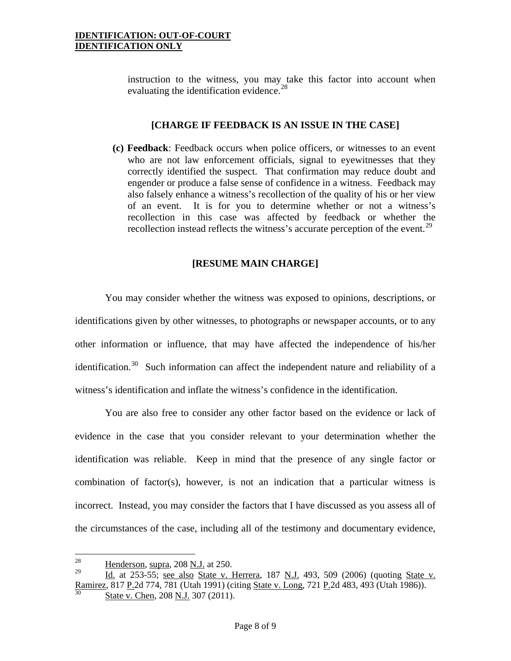instruction to the witness, you may take this factor into account when evaluating the identification evidence.<sup>[28](#page-6-3)</sup>

#### **[CHARGE IF FEEDBACK IS AN ISSUE IN THE CASE]**

**(c) Feedback**: Feedback occurs when police officers, or witnesses to an event who are not law enforcement officials, signal to eyewitnesses that they correctly identified the suspect. That confirmation may reduce doubt and engender or produce a false sense of confidence in a witness. Feedback may also falsely enhance a witness's recollection of the quality of his or her view of an event. It is for you to determine whether or not a witness's recollection in this case was affected by feedback or whether the recollection instead reflects the witness's accurate perception of the event.<sup>[29](#page-7-0)</sup>

## **[RESUME MAIN CHARGE]**

You may consider whether the witness was exposed to opinions, descriptions, or identifications given by other witnesses, to photographs or newspaper accounts, or to any other information or influence, that may have affected the independence of his/her identification.<sup>[30](#page-7-1)</sup> Such information can affect the independent nature and reliability of a witness's identification and inflate the witness's confidence in the identification.

You are also free to consider any other factor based on the evidence or lack of evidence in the case that you consider relevant to your determination whether the identification was reliable. Keep in mind that the presence of any single factor or combination of factor(s), however, is not an indication that a particular witness is incorrect. Instead, you may consider the factors that I have discussed as you assess all of the circumstances of the case, including all of the testimony and documentary evidence,

<sup>28</sup>  $\frac{28}{29}$  Henderson, supra, 208 <u>N.J.</u> at 250.

<span id="page-7-1"></span><span id="page-7-0"></span><sup>29</sup> Id. at 253-55; see also State v. Herrera, 187 N.J. 493, 509 (2006) (quoting State v. Ramirez, 817 P.2d 774, 781 (Utah 1991) (citing State v. Long, 721 P.2d 483, 493 (Utah 1986)). State v. Chen, 208 N.J. 307 (2011).